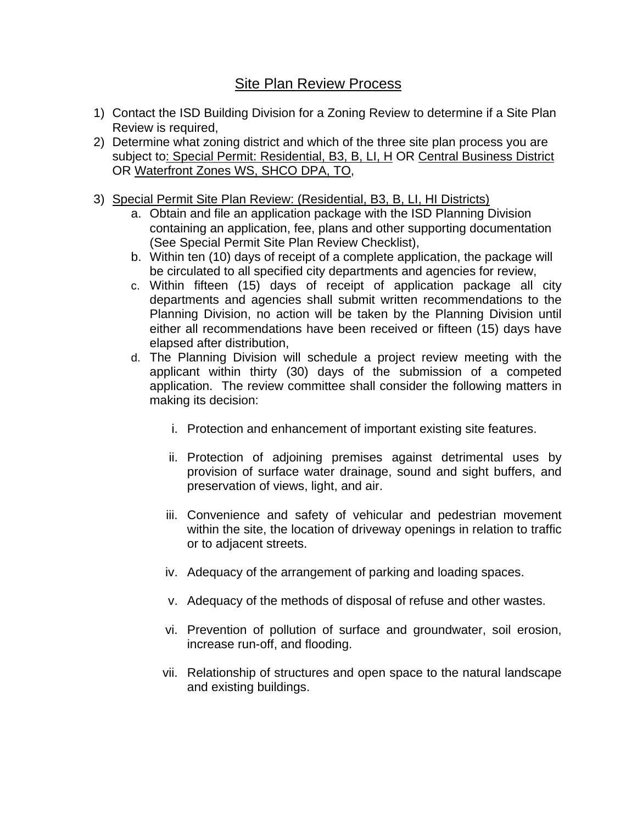## Site Plan Review Process

- 1) Contact the ISD Building Division for a Zoning Review to determine if a Site Plan Review is required,
- 2) Determine what zoning district and which of the three site plan process you are subject to: Special Permit: Residential, B3, B, LI, H OR Central Business District OR Waterfront Zones WS, SHCO DPA, TO,
- 3) Special Permit Site Plan Review: (Residential, B3, B, LI, HI Districts)
	- a. Obtain and file an application package with the ISD Planning Division containing an application, fee, plans and other supporting documentation (See Special Permit Site Plan Review Checklist),
	- b. Within ten (10) days of receipt of a complete application, the package will be circulated to all specified city departments and agencies for review,
	- c. Within fifteen (15) days of receipt of application package all city departments and agencies shall submit written recommendations to the Planning Division, no action will be taken by the Planning Division until either all recommendations have been received or fifteen (15) days have elapsed after distribution,
	- d. The Planning Division will schedule a project review meeting with the applicant within thirty (30) days of the submission of a competed application. The review committee shall consider the following matters in making its decision:
		- i. Protection and enhancement of important existing site features.
		- ii. Protection of adjoining premises against detrimental uses by provision of surface water drainage, sound and sight buffers, and preservation of views, light, and air.
		- iii. Convenience and safety of vehicular and pedestrian movement within the site, the location of driveway openings in relation to traffic or to adjacent streets.
		- iv. Adequacy of the arrangement of parking and loading spaces.
		- v. Adequacy of the methods of disposal of refuse and other wastes.
		- vi. Prevention of pollution of surface and groundwater, soil erosion, increase run-off, and flooding.
		- vii. Relationship of structures and open space to the natural landscape and existing buildings.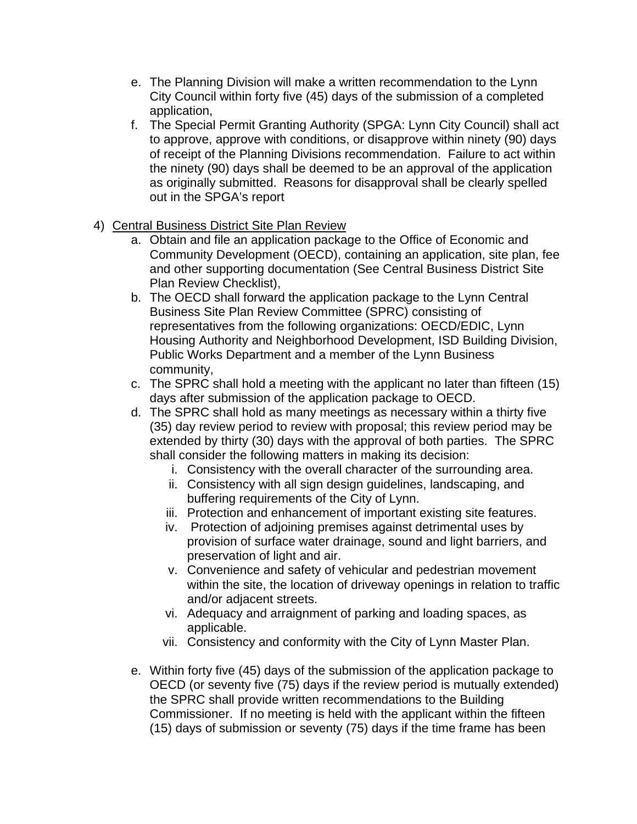- e. The Planning Division will make a written recommendation to the Lynn City Council within forty five (45) days of the submission of a completed application,
- f. The Special Permit Granting Authority (SPGA: Lynn City Council) shall act to approve, approve with conditions, or disapprove within ninety (90) days of receipt of the Planning Divisions recommendation. Failure to act within the ninety (90) days shall be deemed to be an approval of the application as originally submitted. Reasons for disapproval shall be clearly spelled out in the SPGA's report
- 4) Central Business District Site Plan Review
	- a. Obtain and file an application package to the Office of Economic and Community Development (OECD), containing an application, site plan, fee and other supporting documentation (See Central Business District Site Plan Review Checklist),
	- b. The OECD shall forward the application package to the Lynn Central Business Site Plan Review Committee (SPRC) consisting of representatives from the following organizations: OECD/EDIC, Lynn Housing Authority and Neighborhood Development, ISD Building Division, Public Works Department and a member of the Lynn Business community,
	- c. The SPRC shall hold a meeting with the applicant no later than fifteen (15) days after submission of the application package to OECD.
	- d. The SPRC shall hold as many meetings as necessary within a thirty five (35) day review period to review with proposal; this review period may be extended by thirty (30) days with the approval of both parties. The SPRC shall consider the following matters in making its decision:
		- i. Consistency with the overall character of the surrounding area.
		- ii. Consistency with all sign design guidelines, landscaping, and buffering requirements of the City of Lynn.
		- iii. Protection and enhancement of important existing site features.
		- iv. Protection of adjoining premises against detrimental uses by provision of surface water drainage, sound and light barriers, and preservation of light and air.
		- v. Convenience and safety of vehicular and pedestrian movement within the site, the location of driveway openings in relation to traffic and/or adjacent streets.
		- vi. Adequacy and arraignment of parking and loading spaces, as applicable.
		- vii. Consistency and conformity with the City of Lynn Master Plan.
	- e. Within forty five (45) days of the submission of the application package to OECD (or seventy five (75) days if the review period is mutually extended) the SPRC shall provide written recommendations to the Building Commissioner. If no meeting is held with the applicant within the fifteen (15) days of submission or seventy (75) days if the time frame has been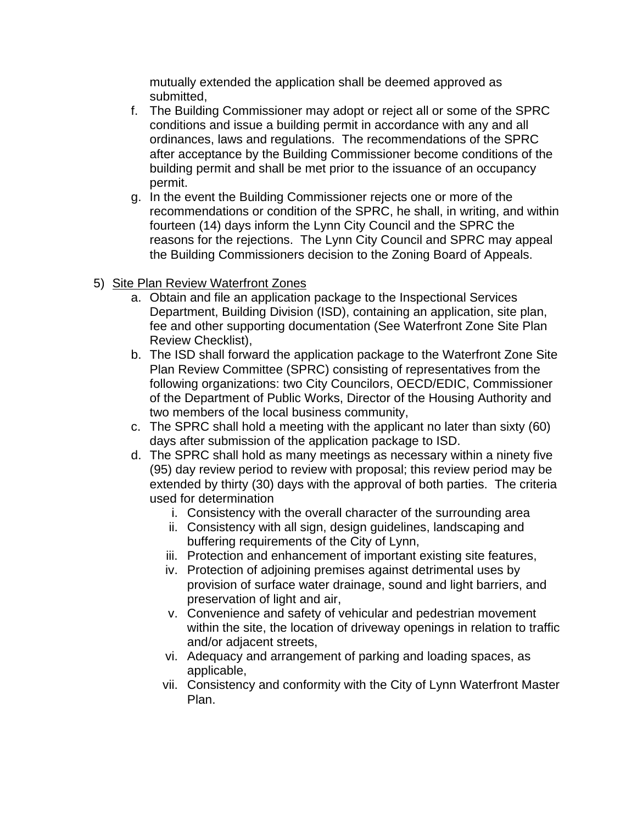mutually extended the application shall be deemed approved as submitted,

- f. The Building Commissioner may adopt or reject all or some of the SPRC conditions and issue a building permit in accordance with any and all ordinances, laws and regulations. The recommendations of the SPRC after acceptance by the Building Commissioner become conditions of the building permit and shall be met prior to the issuance of an occupancy permit.
- g. In the event the Building Commissioner rejects one or more of the recommendations or condition of the SPRC, he shall, in writing, and within fourteen (14) days inform the Lynn City Council and the SPRC the reasons for the rejections. The Lynn City Council and SPRC may appeal the Building Commissioners decision to the Zoning Board of Appeals.
- 5) Site Plan Review Waterfront Zones
	- a. Obtain and file an application package to the Inspectional Services Department, Building Division (ISD), containing an application, site plan, fee and other supporting documentation (See Waterfront Zone Site Plan Review Checklist),
	- b. The ISD shall forward the application package to the Waterfront Zone Site Plan Review Committee (SPRC) consisting of representatives from the following organizations: two City Councilors, OECD/EDIC, Commissioner of the Department of Public Works, Director of the Housing Authority and two members of the local business community,
	- c. The SPRC shall hold a meeting with the applicant no later than sixty (60) days after submission of the application package to ISD.
	- d. The SPRC shall hold as many meetings as necessary within a ninety five (95) day review period to review with proposal; this review period may be extended by thirty (30) days with the approval of both parties. The criteria used for determination
		- i. Consistency with the overall character of the surrounding area
		- ii. Consistency with all sign, design guidelines, landscaping and buffering requirements of the City of Lynn,
		- iii. Protection and enhancement of important existing site features,
		- iv. Protection of adjoining premises against detrimental uses by provision of surface water drainage, sound and light barriers, and preservation of light and air,
		- v. Convenience and safety of vehicular and pedestrian movement within the site, the location of driveway openings in relation to traffic and/or adjacent streets,
		- vi. Adequacy and arrangement of parking and loading spaces, as applicable,
		- vii. Consistency and conformity with the City of Lynn Waterfront Master Plan.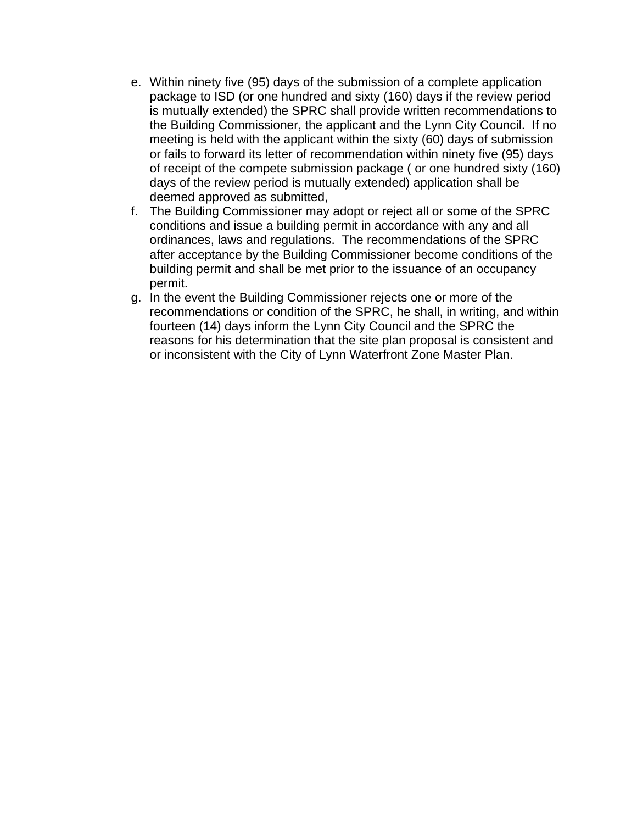- e. Within ninety five (95) days of the submission of a complete application package to ISD (or one hundred and sixty (160) days if the review period is mutually extended) the SPRC shall provide written recommendations to the Building Commissioner, the applicant and the Lynn City Council. If no meeting is held with the applicant within the sixty (60) days of submission or fails to forward its letter of recommendation within ninety five (95) days of receipt of the compete submission package ( or one hundred sixty (160) days of the review period is mutually extended) application shall be deemed approved as submitted,
- f. The Building Commissioner may adopt or reject all or some of the SPRC conditions and issue a building permit in accordance with any and all ordinances, laws and regulations. The recommendations of the SPRC after acceptance by the Building Commissioner become conditions of the building permit and shall be met prior to the issuance of an occupancy permit.
- g. In the event the Building Commissioner rejects one or more of the recommendations or condition of the SPRC, he shall, in writing, and within fourteen (14) days inform the Lynn City Council and the SPRC the reasons for his determination that the site plan proposal is consistent and or inconsistent with the City of Lynn Waterfront Zone Master Plan.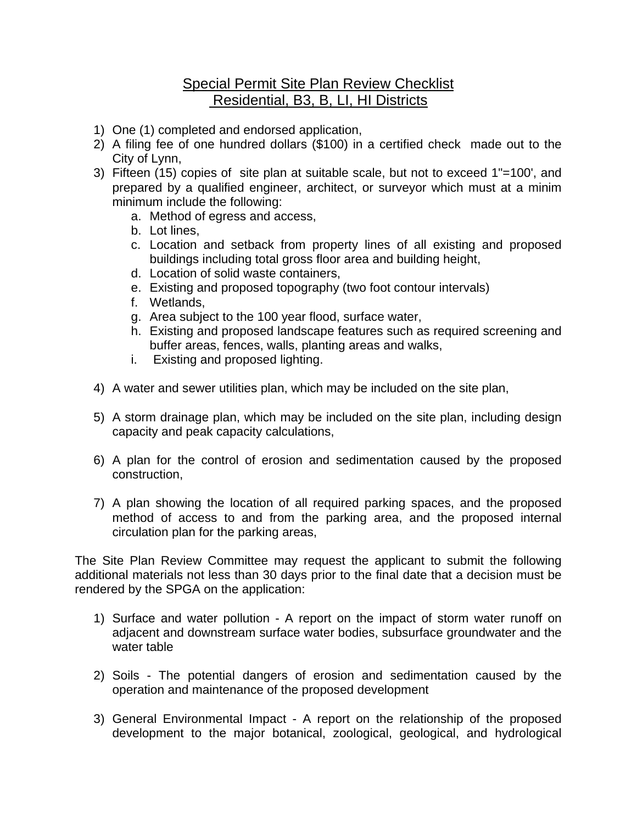## Special Permit Site Plan Review Checklist Residential, B3, B, LI, HI Districts

- 1) One (1) completed and endorsed application,
- 2) A filing fee of one hundred dollars (\$100) in a certified check made out to the City of Lynn,
- 3) Fifteen (15) copies of site plan at suitable scale, but not to exceed 1"=100', and prepared by a qualified engineer, architect, or surveyor which must at a minim minimum include the following:
	- a. Method of egress and access,
	- b. Lot lines,
	- c. Location and setback from property lines of all existing and proposed buildings including total gross floor area and building height,
	- d. Location of solid waste containers,
	- e. Existing and proposed topography (two foot contour intervals)
	- f. Wetlands,
	- g. Area subject to the 100 year flood, surface water,
	- h. Existing and proposed landscape features such as required screening and buffer areas, fences, walls, planting areas and walks,
	- i. Existing and proposed lighting.
- 4) A water and sewer utilities plan, which may be included on the site plan,
- 5) A storm drainage plan, which may be included on the site plan, including design capacity and peak capacity calculations,
- 6) A plan for the control of erosion and sedimentation caused by the proposed construction,
- 7) A plan showing the location of all required parking spaces, and the proposed method of access to and from the parking area, and the proposed internal circulation plan for the parking areas,

The Site Plan Review Committee may request the applicant to submit the following additional materials not less than 30 days prior to the final date that a decision must be rendered by the SPGA on the application:

- 1) Surface and water pollution A report on the impact of storm water runoff on adjacent and downstream surface water bodies, subsurface groundwater and the water table
- 2) Soils The potential dangers of erosion and sedimentation caused by the operation and maintenance of the proposed development
- 3) General Environmental Impact A report on the relationship of the proposed development to the major botanical, zoological, geological, and hydrological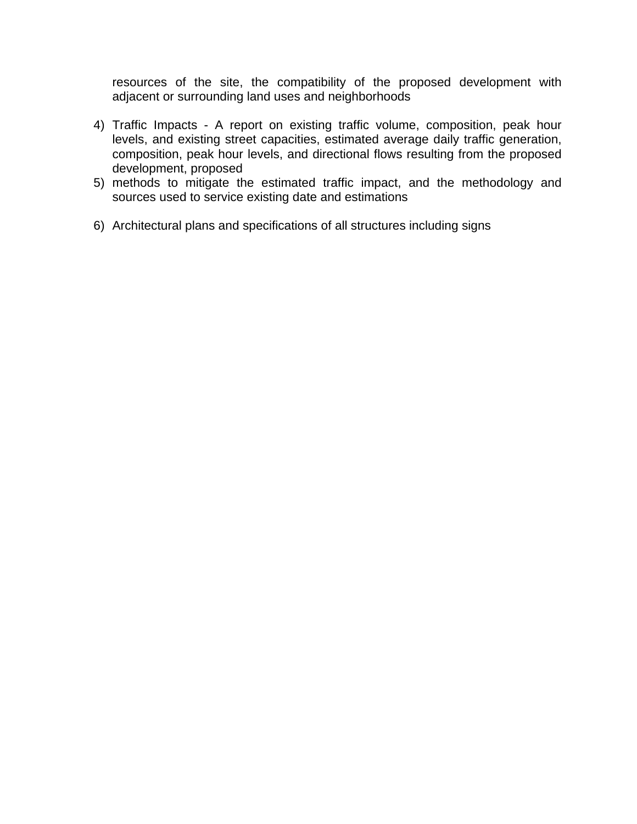resources of the site, the compatibility of the proposed development with adjacent or surrounding land uses and neighborhoods

- 4) Traffic Impacts A report on existing traffic volume, composition, peak hour levels, and existing street capacities, estimated average daily traffic generation, composition, peak hour levels, and directional flows resulting from the proposed development, proposed
- 5) methods to mitigate the estimated traffic impact, and the methodology and sources used to service existing date and estimations
- 6) Architectural plans and specifications of all structures including signs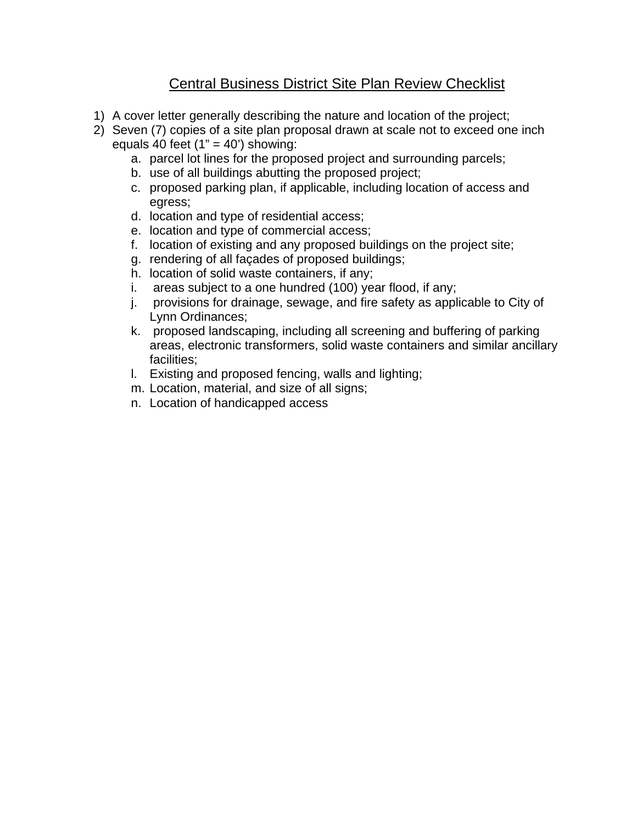## Central Business District Site Plan Review Checklist

- 1) A cover letter generally describing the nature and location of the project;
- 2) Seven (7) copies of a site plan proposal drawn at scale not to exceed one inch equals 40 feet  $(1" = 40')$  showing:
	- a. parcel lot lines for the proposed project and surrounding parcels;
	- b. use of all buildings abutting the proposed project;
	- c. proposed parking plan, if applicable, including location of access and egress;
	- d. location and type of residential access;
	- e. location and type of commercial access;
	- f. location of existing and any proposed buildings on the project site;
	- g. rendering of all façades of proposed buildings;
	- h. location of solid waste containers, if any;
	- i. areas subject to a one hundred (100) year flood, if any;
	- j. provisions for drainage, sewage, and fire safety as applicable to City of Lynn Ordinances;
	- k. proposed landscaping, including all screening and buffering of parking areas, electronic transformers, solid waste containers and similar ancillary facilities;
	- l. Existing and proposed fencing, walls and lighting;
	- m. Location, material, and size of all signs;
	- n. Location of handicapped access